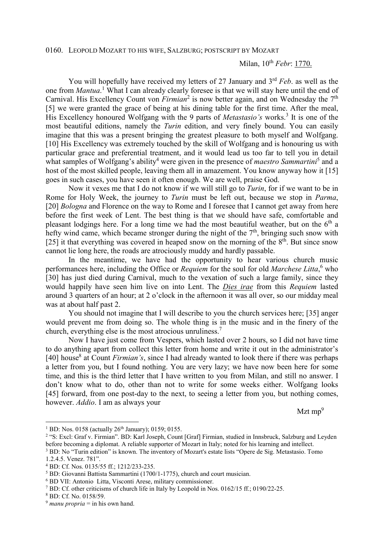0160. LEOPOLD MOZART TO HIS WIFE, SALZBURG; POSTSCRIPT BY MOZART

## Milan, 10th *Febr*: 1770.

You will hopefully have received my letters of 27 January and 3<sup>rd</sup> *Feb.* as well as the one from *Mantua*.<sup>1</sup> What I can already clearly foresee is that we will stay here until the end of Carnival. His Excellency Count von  $Firmian^2$  is now better again, and on Wednesday the  $7<sup>th</sup>$ [5] we were granted the grace of being at his dining table for the first time. After the meal, His Excellency honoured Wolfgang with the 9 parts of *Metastasio's* works.<sup>3</sup> It is one of the most beautiful editions, namely the *Turin* edition, and very finely bound. You can easily imagine that this was a present bringing the greatest pleasure to both myself and Wolfgang. [10] His Excellency was extremely touched by the skill of Wolfgang and is honouring us with particular grace and preferential treatment, and it would lead us too far to tell you in detail what samples of Wolfgang's ability<sup>4</sup> were given in the presence of *maestro Sammartini*<sup>5</sup> and a host of the most skilled people, leaving them all in amazement. You know anyway how it [15] goes in such cases, you have seen it often enough. We are well, praise God.

 Now it vexes me that I do not know if we will still go to *Turin*, for if we want to be in Rome for Holy Week, the journey to *Turin* must be left out, because we stop in *Parma*, [20] *Bologna* and Florence on the way to Rome and I foresee that I cannot get away from here before the first week of Lent. The best thing is that we should have safe, comfortable and pleasant lodgings here. For a long time we had the most beautiful weather, but on the  $6<sup>th</sup>$  a hefty wind came, which became stronger during the night of the  $7<sup>th</sup>$ , bringing such snow with [25] it that everything was covered in heaped snow on the morning of the  $8<sup>th</sup>$ . But since snow cannot lie long here, the roads are atrociously muddy and hardly passable.

 In the meantime, we have had the opportunity to hear various church music performances here, including the Office or *Requiem* for the soul for old *Marchese Litta*,<sup>6</sup> who [30] has just died during Carnival, much to the vexation of such a large family, since they would happily have seen him live on into Lent. The *Dies irae* from this *Requiem* lasted around 3 quarters of an hour; at 2 o'clock in the afternoon it was all over, so our midday meal was at about half past 2.

 You should not imagine that I will describe to you the church services here; [35] anger would prevent me from doing so. The whole thing is in the music and in the finery of the church, everything else is the most atrocious unruliness.<sup>7</sup>

 Now I have just come from Vespers, which lasted over 2 hours, so I did not have time to do anything apart from collect this letter from home and write it out in the administrator's [40] house<sup>8</sup> at Count *Firmian's*, since I had already wanted to look there if there was perhaps a letter from you, but I found nothing. You are very lazy; we have now been here for some time, and this is the third letter that I have written to you from Milan, and still no answer. I don't know what to do, other than not to write for some weeks either. Wolfgang looks [45] forward, from one post-day to the next, to seeing a letter from you, but nothing comes, however. *Addio*. I am as always your

 $Mz$ t mp $^{9}$ 

<sup>&</sup>lt;sup>1</sup> BD: Nos. 0158 (actually 26<sup>th</sup> January); 0159; 0155.

<sup>&</sup>lt;sup>2</sup> "S: Excl: Graf v. Firmian". BD: Karl Joseph, Count [Graf] Firmian, studied in Innsbruck, Salzburg and Leyden before becoming a diplomat. A reliable supporter of Mozart in Italy; noted for his learning and intellect. <sup>3</sup> BD: No "Turin edition" is known. The inventory of Mozart's estate lists "Opere de Sig. Metastasio. Tomo

<sup>1.2.4.5.</sup> Venez. 781".

<sup>4</sup> BD: Cf. Nos. 0135/55 ff.; 1212/233-235.

<sup>&</sup>lt;sup>5</sup> BD: Giovanni Battista Sammartini (1700/1-1775), church and court musician.

<sup>6</sup> BD VII: Antonio Litta, Visconti Arese, military commissioner.

<sup>&</sup>lt;sup>7</sup> BD: Cf. other criticisms of church life in Italy by Leopold in Nos. 0162/15 ff.; 0190/22-25.

<sup>8</sup> BD: Cf. No. 0158/59.

 $9$  *manu propria* = in his own hand.